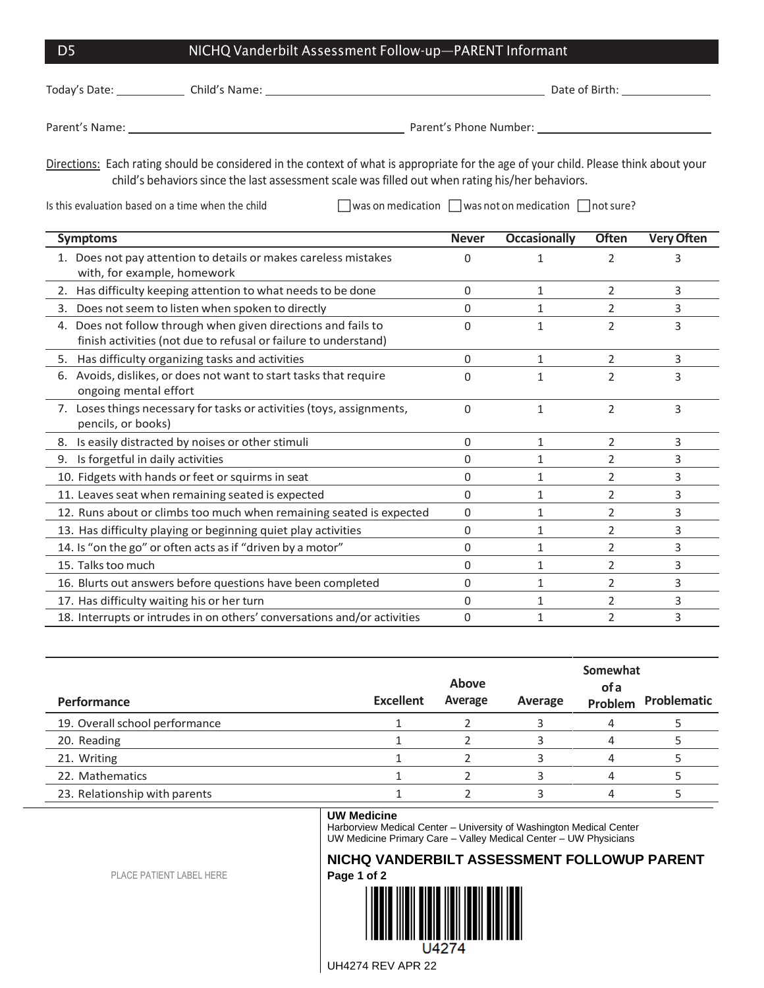| D5            | NICHQ Vanderbilt Assessment Follow-up—PARENT Informant |                |  |  |  |
|---------------|--------------------------------------------------------|----------------|--|--|--|
| Today's Date: | Child's Name:                                          | Date of Birth: |  |  |  |

Parent's Name: Law Parent's Phone Number: Law Parent's Phone Number: Law Parent's Phone Number: Law Parent's Phone Number: Law Parent's Phone Number: Law Parent in Parent in Parent in Parent in Parent in Parent in Parent i

Directions: Each rating should be considered in the context of what is appropriate for the age of your child. Please think about your child's behaviors since the last assessment scale was filled out when rating his/her behaviors.

Is this evaluation based on a time when the child **was on medication**  $\Box$  was not on medication  $\Box$  not sure?

| <b>Symptoms</b>                                                                                                                     | <b>Never</b> | <b>Occasionally</b> | <b>Often</b>   | <b>Very Often</b> |
|-------------------------------------------------------------------------------------------------------------------------------------|--------------|---------------------|----------------|-------------------|
| 1. Does not pay attention to details or makes careless mistakes<br>with, for example, homework                                      | 0            |                     | $\overline{2}$ | 3                 |
| 2. Has difficulty keeping attention to what needs to be done                                                                        | 0            | 1                   | 2              | 3                 |
| Does not seem to listen when spoken to directly<br>3.                                                                               | 0            |                     | 2              | 3                 |
| Does not follow through when given directions and fails to<br>4.<br>finish activities (not due to refusal or failure to understand) | 0            | 1                   | $\mathfrak{p}$ | 3                 |
| 5. Has difficulty organizing tasks and activities                                                                                   | $\Omega$     | $\mathbf{1}$        | 2              | 3                 |
| Avoids, dislikes, or does not want to start tasks that require<br>6.<br>ongoing mental effort                                       | O            | 1                   | 2              | 3                 |
| 7. Loses things necessary for tasks or activities (toys, assignments,<br>pencils, or books)                                         | $\Omega$     | 1                   | $\overline{2}$ | 3                 |
| 8. Is easily distracted by noises or other stimuli                                                                                  | 0            | $\mathbf{1}$        | 2              | 3                 |
| Is forgetful in daily activities<br>9.                                                                                              | 0            | 1                   | 2              | 3                 |
| 10. Fidgets with hands or feet or squirms in seat                                                                                   | 0            |                     | 2              | 3                 |
| 11. Leaves seat when remaining seated is expected                                                                                   | 0            | 1                   | 2              | 3                 |
| 12. Runs about or climbs too much when remaining seated is expected                                                                 | 0            | 1                   | 2              | 3                 |
| 13. Has difficulty playing or beginning quiet play activities                                                                       | 0            | 1                   | 2              | 3                 |
| 14. Is "on the go" or often acts as if "driven by a motor"                                                                          | 0            | 1                   | 2              | 3                 |
| 15. Talks too much                                                                                                                  | 0            | 1                   | 2              | 3                 |
| 16. Blurts out answers before questions have been completed                                                                         | 0            | 1                   | 2              | 3                 |
| 17. Has difficulty waiting his or her turn                                                                                          | 0            |                     | 2              | 3                 |
| 18. Interrupts or intrudes in on others' conversations and/or activities                                                            | 0            |                     | 2              | 3                 |

| Performance                    | <b>Excellent</b> | <b>Above</b><br>Average | Average | Somewhat<br>of a<br>Problem | Problematic |
|--------------------------------|------------------|-------------------------|---------|-----------------------------|-------------|
| 19. Overall school performance |                  |                         |         | 4                           |             |
| 20. Reading                    |                  |                         |         |                             |             |
| 21. Writing                    |                  |                         |         |                             |             |
| 22. Mathematics                |                  |                         |         |                             |             |
| 23. Relationship with parents  |                  |                         |         |                             |             |

## **UW Medicine**

Harborview Medical Center – University of Washington Medical Center UW Medicine Primary Care – Valley Medical Center – UW Physicians

## **NICHQ VANDERBILT ASSESSMENT FOLLOWUP PARENT Page 1 of 2**

PLACE PATIENT LABEL HERE



UH4274 REV APR 22